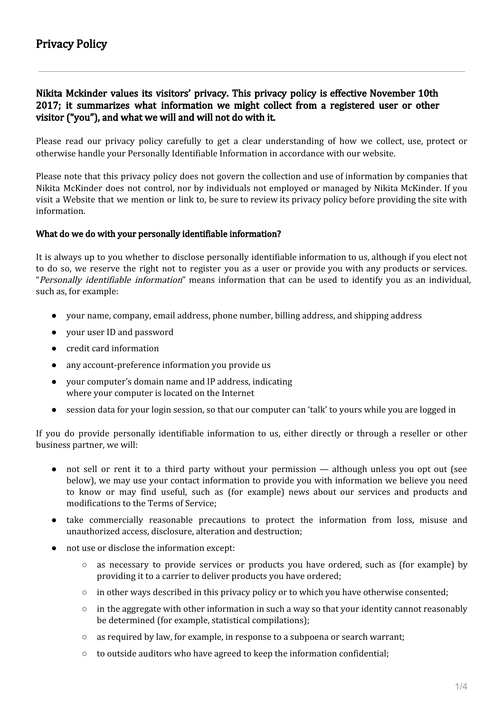# Nikita Mckinder values its visitors' privacy. This privacy policy is effective November 10th 2017; it summarizes what information we might collect from a registered user or other visitor ("you"), and what we will and will not do with it.

Please read our privacy policy carefully to get a clear understanding of how we collect, use, protect or otherwise handle your Personally Identifiable Information in accordance with our website.

Please note that this privacy policy does not govern the collection and use of information by companies that Nikita McKinder does not control, nor by individuals not employed or managed by Nikita McKinder. If you visit a Website that we mention or link to, be sure to review its privacy policy before providing the site with information.

## What do we do with your personally identifiable information?

It is always up to you whether to disclose personally identifiable information to us, although if you elect not to do so, we reserve the right not to register you as a user or provide you with any products or services. "Personally identifiable information" means information that can be used to identify you as an individual, such as, for example:

- your name, company, email address, phone number, billing address, and shipping address
- vour user ID and password
- credit card information
- any account-preference information you provide us
- your computer's domain name and IP address, indicating where your computer is located on the Internet
- session data for your login session, so that our computer can 'talk' to yours while you are logged in

If you do provide personally identifiable information to us, either directly or through a reseller or other business partner, we will:

- not sell or rent it to a third party without your permission although unless you opt out (see below), we may use your contact information to provide you with information we believe you need to know or may find useful, such as (for example) news about our services and products and modifications to the Terms of Service;
- take commercially reasonable precautions to protect the information from loss, misuse and unauthorized access, disclosure, alteration and destruction;
- not use or disclose the information except:
	- as necessary to provide services or products you have ordered, such as (for example) by providing it to a carrier to deliver products you have ordered;
	- in other ways described in this privacy policy or to which you have otherwise consented;
	- $\circ$  in the aggregate with other information in such a way so that your identity cannot reasonably be determined (for example, statistical compilations);
	- as required by law, for example, in response to a subpoena or search warrant;
	- to outside auditors who have agreed to keep the information confidential;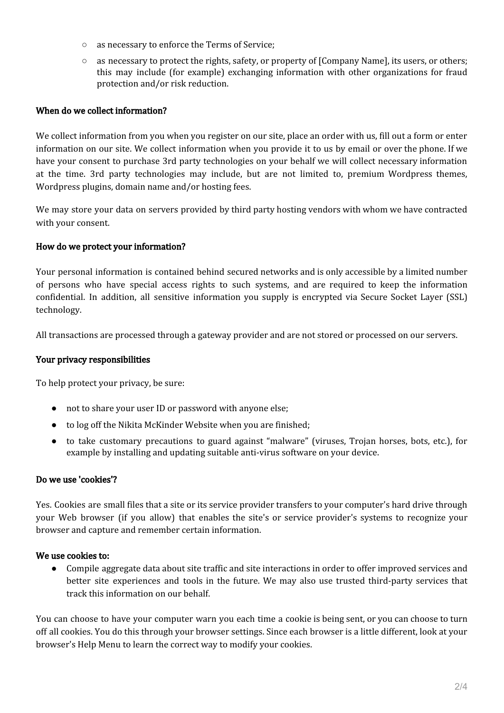- as necessary to enforce the Terms of Service;
- as necessary to protect the rights, safety, or property of [Company Name], its users, or others; this may include (for example) exchanging information with other organizations for fraud protection and/or risk reduction.

## When do we collect information?

We collect information from you when you register on our site, place an order with us, fill out a form or enter information on our site. We collect information when you provide it to us by email or over the phone. If we have your consent to purchase 3rd party technologies on your behalf we will collect necessary information at the time. 3rd party technologies may include, but are not limited to, premium Wordpress themes, Wordpress plugins, domain name and/or hosting fees.

We may store your data on servers provided by third party hosting vendors with whom we have contracted with your consent.

## How do we protect your information?

Your personal information is contained behind secured networks and is only accessible by a limited number of persons who have special access rights to such systems, and are required to keep the information confidential. In addition, all sensitive information you supply is encrypted via Secure Socket Layer (SSL) technology.

All transactions are processed through a gateway provider and are not stored or processed on our servers.

## Your privacy responsibilities

To help protect your privacy, be sure:

- not to share your user ID or password with anyone else;
- to log off the Nikita McKinder Website when you are finished;
- to take customary precautions to guard against "malware" (viruses, Trojan horses, bots, etc.), for example by installing and updating suitable anti-virus software on your device.

### Do we use 'cookies'?

Yes. Cookies are small files that a site or its service provider transfers to your computer's hard drive through your Web browser (if you allow) that enables the site's or service provider's systems to recognize your browser and capture and remember certain information.

## We use cookies to:

● Compile aggregate data about site traffic and site interactions in order to offer improved services and better site experiences and tools in the future. We may also use trusted third-party services that track this information on our behalf.

You can choose to have your computer warn you each time a cookie is being sent, or you can choose to turn off all cookies. You do this through your browser settings. Since each browser is a little different, look at your browser's Help Menu to learn the correct way to modify your cookies.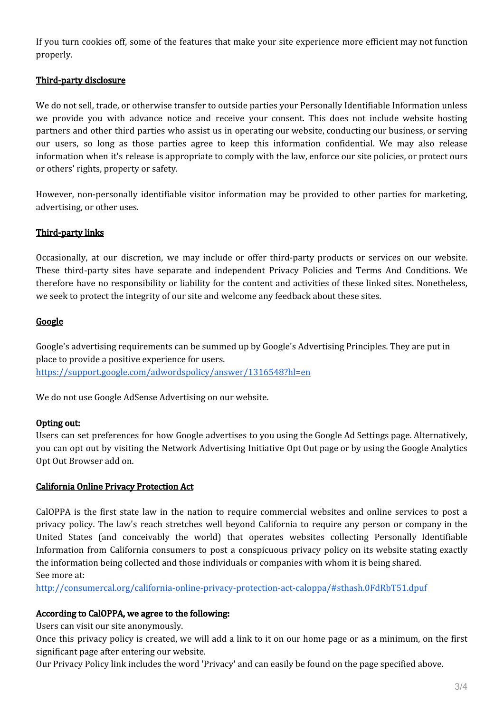If you turn cookies off, some of the features that make your site experience more efficient may not function properly.

# Third-party disclosure

We do not sell, trade, or otherwise transfer to outside parties your Personally Identifiable Information unless we provide you with advance notice and receive your consent. This does not include website hosting partners and other third parties who assist us in operating our website, conducting our business, or serving our users, so long as those parties agree to keep this information confidential. We may also release information when it's release is appropriate to comply with the law, enforce our site policies, or protect ours or others' rights, property or safety.

However, non-personally identifiable visitor information may be provided to other parties for marketing, advertising, or other uses.

### Third-party links

Occasionally, at our discretion, we may include or offer third-party products or services on our website. These third-party sites have separate and independent Privacy Policies and Terms And Conditions. We therefore have no responsibility or liability for the content and activities of these linked sites. Nonetheless, we seek to protect the integrity of our site and welcome any feedback about these sites.

## **Google**

Google's advertising requirements can be summed up by Google's Advertising Principles. They are put in place to provide a positive experience for users. <https://support.google.com/adwordspolicy/answer/1316548?hl=en>

We do not use Google AdSense Advertising on our website.

### Opting out:

Users can set preferences for how Google advertises to you using the Google Ad Settings page. Alternatively, you can opt out by visiting the Network Advertising Initiative Opt Out page or by using the Google Analytics Opt Out Browser add on.

### California Online Privacy Protection Act

CalOPPA is the first state law in the nation to require commercial websites and online services to post a privacy policy. The law's reach stretches well beyond California to require any person or company in the United States (and conceivably the world) that operates websites collecting Personally Identifiable Information from California consumers to post a conspicuous privacy policy on its website stating exactly the information being collected and those individuals or companies with whom it is being shared. See more at:

<http://consumercal.org/california-online-privacy-protection-act-caloppa/#sthash.0FdRbT51.dpuf>

### According to CalOPPA, we agree to the following:

Users can visit our site anonymously.

Once this privacy policy is created, we will add a link to it on our home page or as a minimum, on the first significant page after entering our website.

Our Privacy Policy link includes the word 'Privacy' and can easily be found on the page specified above.